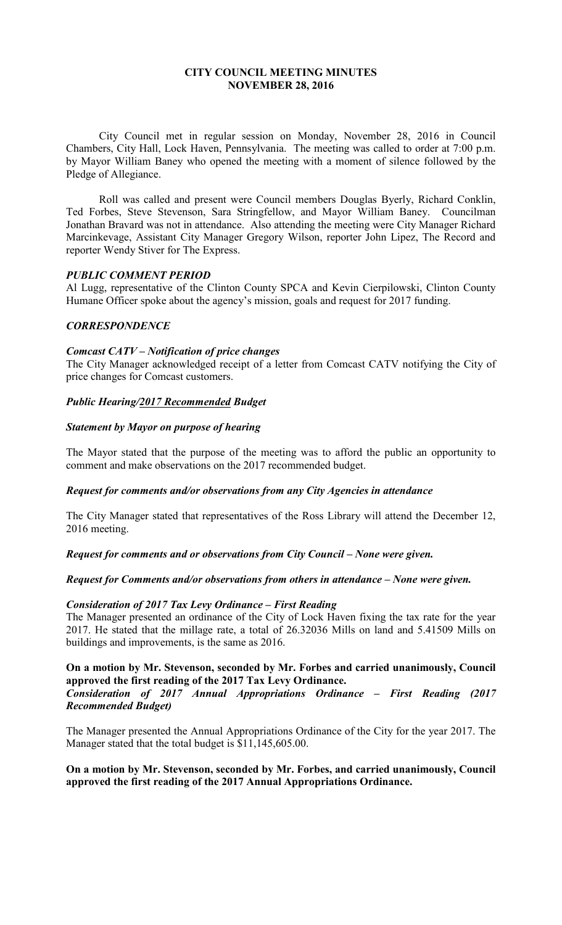## **CITY COUNCIL MEETING MINUTES NOVEMBER 28, 2016**

City Council met in regular session on Monday, November 28, 2016 in Council Chambers, City Hall, Lock Haven, Pennsylvania. The meeting was called to order at 7:00 p.m. by Mayor William Baney who opened the meeting with a moment of silence followed by the Pledge of Allegiance.

Roll was called and present were Council members Douglas Byerly, Richard Conklin, Ted Forbes, Steve Stevenson, Sara Stringfellow, and Mayor William Baney. Councilman Jonathan Bravard was not in attendance. Also attending the meeting were City Manager Richard Marcinkevage, Assistant City Manager Gregory Wilson, reporter John Lipez, The Record and reporter Wendy Stiver for The Express.

## *PUBLIC COMMENT PERIOD*

Al Lugg, representative of the Clinton County SPCA and Kevin Cierpilowski, Clinton County Humane Officer spoke about the agency's mission, goals and request for 2017 funding.

## *CORRESPONDENCE*

### *Comcast CATV – Notification of price changes*

The City Manager acknowledged receipt of a letter from Comcast CATV notifying the City of price changes for Comcast customers.

## *Public Hearing/2017 Recommended Budget*

## *Statement by Mayor on purpose of hearing*

The Mayor stated that the purpose of the meeting was to afford the public an opportunity to comment and make observations on the 2017 recommended budget.

### *Request for comments and/or observations from any City Agencies in attendance*

The City Manager stated that representatives of the Ross Library will attend the December 12, 2016 meeting.

*Request for comments and or observations from City Council – None were given.* 

### *Request for Comments and/or observations from others in attendance – None were given.*

### *Consideration of 2017 Tax Levy Ordinance – First Reading*

The Manager presented an ordinance of the City of Lock Haven fixing the tax rate for the year 2017. He stated that the millage rate, a total of 26.32036 Mills on land and 5.41509 Mills on buildings and improvements, is the same as 2016.

# **On a motion by Mr. Stevenson, seconded by Mr. Forbes and carried unanimously, Council approved the first reading of the 2017 Tax Levy Ordinance.**

### *Consideration of 2017 Annual Appropriations Ordinance – First Reading (2017 Recommended Budget)*

The Manager presented the Annual Appropriations Ordinance of the City for the year 2017. The Manager stated that the total budget is \$11,145,605.00.

## **On a motion by Mr. Stevenson, seconded by Mr. Forbes, and carried unanimously, Council approved the first reading of the 2017 Annual Appropriations Ordinance.**